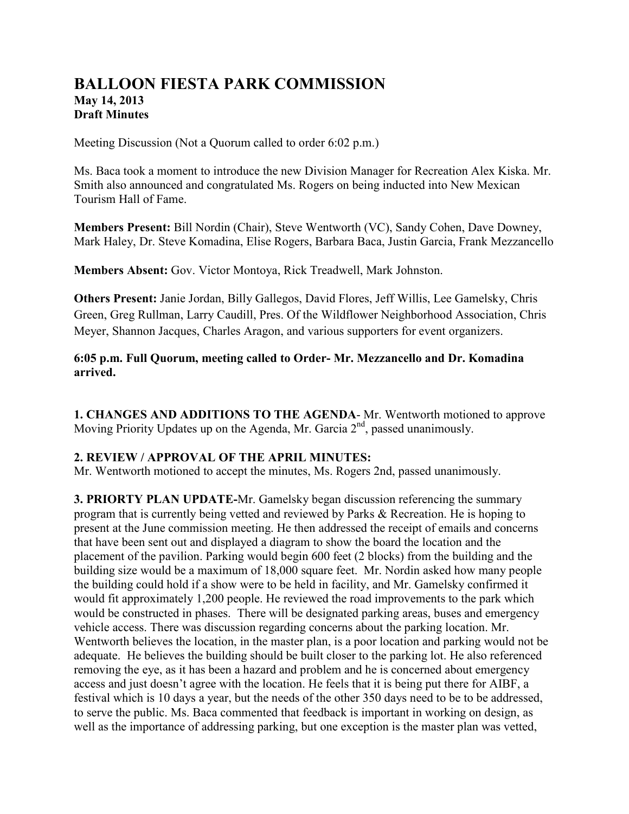# **BALLOON FIESTA PARK COMMISSION May 14, 2013 Draft Minutes**

Meeting Discussion (Not a Quorum called to order 6:02 p.m.)

Ms. Baca took a moment to introduce the new Division Manager for Recreation Alex Kiska. Mr. Smith also announced and congratulated Ms. Rogers on being inducted into New Mexican Tourism Hall of Fame.

**Members Present:** Bill Nordin (Chair), Steve Wentworth (VC), Sandy Cohen, Dave Downey, Mark Haley, Dr. Steve Komadina, Elise Rogers, Barbara Baca, Justin Garcia, Frank Mezzancello

**Members Absent:** Gov. Victor Montoya, Rick Treadwell, Mark Johnston.

**Others Present:** Janie Jordan, Billy Gallegos, David Flores, Jeff Willis, Lee Gamelsky, Chris Green, Greg Rullman, Larry Caudill, Pres. Of the Wildflower Neighborhood Association, Chris Meyer, Shannon Jacques, Charles Aragon, and various supporters for event organizers.

# **6:05 p.m. Full Quorum, meeting called to Order- Mr. Mezzancello and Dr. Komadina arrived.**

**1. CHANGES AND ADDITIONS TO THE AGENDA**- Mr. Wentworth motioned to approve Moving Priority Updates up on the Agenda, Mr. Garcia  $2<sup>nd</sup>$ , passed unanimously.

# **2. REVIEW / APPROVAL OF THE APRIL MINUTES:**

Mr. Wentworth motioned to accept the minutes, Ms. Rogers 2nd, passed unanimously.

**3. PRIORTY PLAN UPDATE-**Mr. Gamelsky began discussion referencing the summary program that is currently being vetted and reviewed by Parks & Recreation. He is hoping to present at the June commission meeting. He then addressed the receipt of emails and concerns that have been sent out and displayed a diagram to show the board the location and the placement of the pavilion. Parking would begin 600 feet (2 blocks) from the building and the building size would be a maximum of 18,000 square feet. Mr. Nordin asked how many people the building could hold if a show were to be held in facility, and Mr. Gamelsky confirmed it would fit approximately 1,200 people. He reviewed the road improvements to the park which would be constructed in phases. There will be designated parking areas, buses and emergency vehicle access. There was discussion regarding concerns about the parking location. Mr. Wentworth believes the location, in the master plan, is a poor location and parking would not be adequate. He believes the building should be built closer to the parking lot. He also referenced removing the eye, as it has been a hazard and problem and he is concerned about emergency access and just doesn't agree with the location. He feels that it is being put there for AIBF, a festival which is 10 days a year, but the needs of the other 350 days need to be to be addressed, to serve the public. Ms. Baca commented that feedback is important in working on design, as well as the importance of addressing parking, but one exception is the master plan was vetted,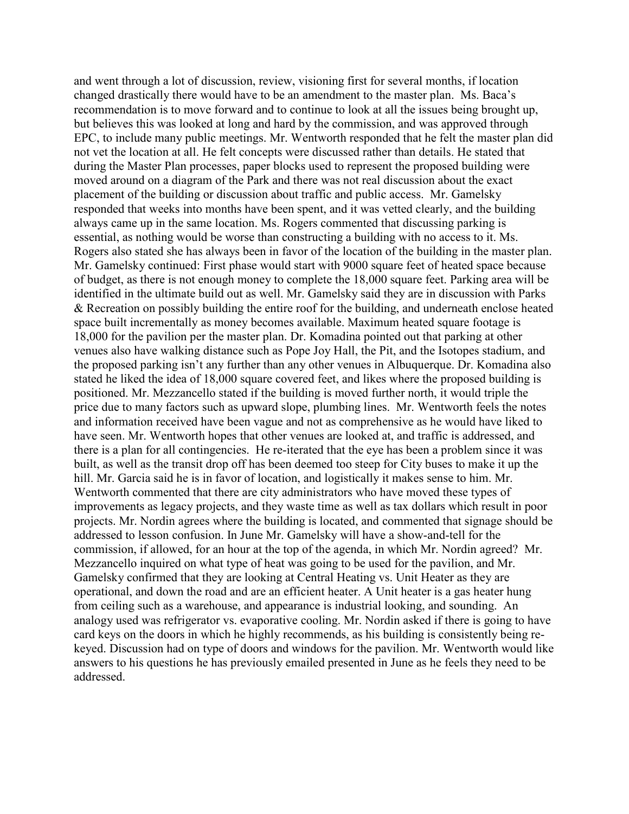and went through a lot of discussion, review, visioning first for several months, if location changed drastically there would have to be an amendment to the master plan. Ms. Baca's recommendation is to move forward and to continue to look at all the issues being brought up, but believes this was looked at long and hard by the commission, and was approved through EPC, to include many public meetings. Mr. Wentworth responded that he felt the master plan did not vet the location at all. He felt concepts were discussed rather than details. He stated that during the Master Plan processes, paper blocks used to represent the proposed building were moved around on a diagram of the Park and there was not real discussion about the exact placement of the building or discussion about traffic and public access. Mr. Gamelsky responded that weeks into months have been spent, and it was vetted clearly, and the building always came up in the same location. Ms. Rogers commented that discussing parking is essential, as nothing would be worse than constructing a building with no access to it. Ms. Rogers also stated she has always been in favor of the location of the building in the master plan. Mr. Gamelsky continued: First phase would start with 9000 square feet of heated space because of budget, as there is not enough money to complete the 18,000 square feet. Parking area will be identified in the ultimate build out as well. Mr. Gamelsky said they are in discussion with Parks & Recreation on possibly building the entire roof for the building, and underneath enclose heated space built incrementally as money becomes available. Maximum heated square footage is 18,000 for the pavilion per the master plan. Dr. Komadina pointed out that parking at other venues also have walking distance such as Pope Joy Hall, the Pit, and the Isotopes stadium, and the proposed parking isn't any further than any other venues in Albuquerque. Dr. Komadina also stated he liked the idea of 18,000 square covered feet, and likes where the proposed building is positioned. Mr. Mezzancello stated if the building is moved further north, it would triple the price due to many factors such as upward slope, plumbing lines. Mr. Wentworth feels the notes and information received have been vague and not as comprehensive as he would have liked to have seen. Mr. Wentworth hopes that other venues are looked at, and traffic is addressed, and there is a plan for all contingencies. He re-iterated that the eye has been a problem since it was built, as well as the transit drop off has been deemed too steep for City buses to make it up the hill. Mr. Garcia said he is in favor of location, and logistically it makes sense to him. Mr. Wentworth commented that there are city administrators who have moved these types of improvements as legacy projects, and they waste time as well as tax dollars which result in poor projects. Mr. Nordin agrees where the building is located, and commented that signage should be addressed to lesson confusion. In June Mr. Gamelsky will have a show-and-tell for the commission, if allowed, for an hour at the top of the agenda, in which Mr. Nordin agreed? Mr. Mezzancello inquired on what type of heat was going to be used for the pavilion, and Mr. Gamelsky confirmed that they are looking at Central Heating vs. Unit Heater as they are operational, and down the road and are an efficient heater. A Unit heater is a gas heater hung from ceiling such as a warehouse, and appearance is industrial looking, and sounding. An analogy used was refrigerator vs. evaporative cooling. Mr. Nordin asked if there is going to have card keys on the doors in which he highly recommends, as his building is consistently being rekeyed. Discussion had on type of doors and windows for the pavilion. Mr. Wentworth would like answers to his questions he has previously emailed presented in June as he feels they need to be addressed.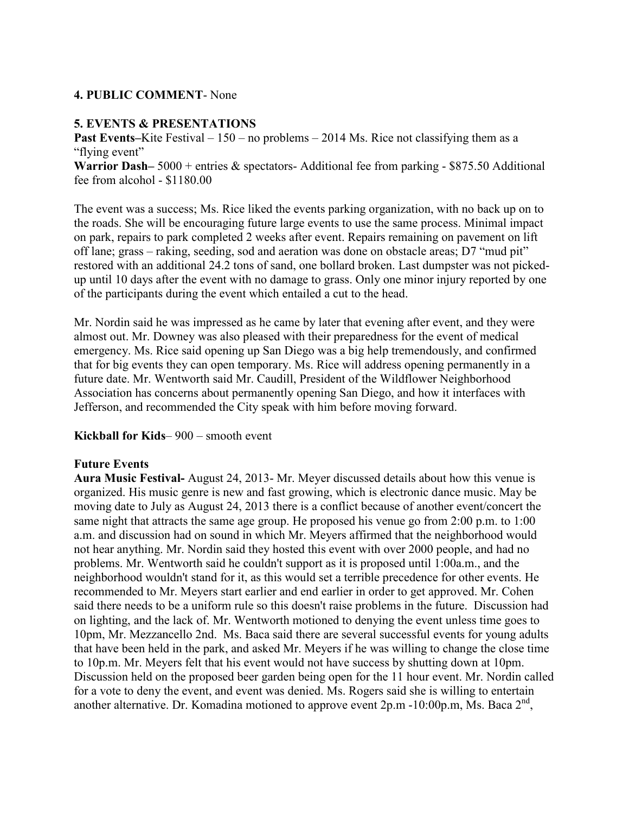### **4. PUBLIC COMMENT**- None

### **5. EVENTS & PRESENTATIONS**

**Past Events–**Kite Festival – 150 – no problems – 2014 Ms. Rice not classifying them as a "flying event"

Warrior Dash–<sup>5000</sup> + entries & spectators- Additional fee from parking - \$875.50 Additional fee from alcohol - \$1180.00

The event was a success; Ms. Rice liked the events parking organization, with no back up on to the roads. She will be encouraging future large events to use the same process. Minimal impact on park, repairs to park completed 2 weeks after event. Repairs remaining on pavement on lift off lane; grass – raking, seeding, sod and aeration was done on obstacle areas; D7 "mud pit" restored with an additional 24.2 tons of sand, one bollard broken. Last dumpster was not pickedup until 10 days after the event with no damage to grass. Only one minor injury reported by one of the participants during the event which entailed a cut to the head.

Mr. Nordin said he was impressed as he came by later that evening after event, and they were almost out. Mr. Downey was also pleased with their preparedness for the event of medical emergency. Ms. Rice said opening up San Diego was a big help tremendously, and confirmed that for big events they can open temporary. Ms. Rice will address opening permanently in a future date. Mr. Wentworth said Mr. Caudill, President of the Wildflower Neighborhood Association has concerns about permanently opening San Diego, and how it interfaces with Jefferson, and recommended the City speak with him before moving forward.

**Kickball for Kids**– 900 – smooth event

#### **Future Events**

**Aura Music Festival-** August 24, 2013- Mr. Meyer discussed details about how this venue is organized. His music genre is new and fast growing, which is electronic dance music. May be moving date to July as August 24, 2013 there is a conflict because of another event/concert the same night that attracts the same age group. He proposed his venue go from 2:00 p.m. to 1:00 a.m. and discussion had on sound in which Mr. Meyers affirmed that the neighborhood would not hear anything. Mr. Nordin said they hosted this event with over 2000 people, and had no problems. Mr. Wentworth said he couldn't support as it is proposed until 1:00a.m., and the neighborhood wouldn't stand for it, as this would set a terrible precedence for other events. He recommended to Mr. Meyers start earlier and end earlier in order to get approved. Mr. Cohen said there needs to be a uniform rule so this doesn't raise problems in the future. Discussion had on lighting, and the lack of. Mr. Wentworth motioned to denying the event unless time goes to 10pm, Mr. Mezzancello 2nd. Ms. Baca said there are several successful events for young adults that have been held in the park, and asked Mr. Meyers if he was willing to change the close time to 10p.m. Mr. Meyers felt that his event would not have success by shutting down at 10pm. Discussion held on the proposed beer garden being open for the 11 hour event. Mr. Nordin called for a vote to deny the event, and event was denied. Ms. Rogers said she is willing to entertain another alternative. Dr. Komadina motioned to approve event  $2p.m - 10:00p.m$ , Ms. Baca  $2<sup>nd</sup>$ ,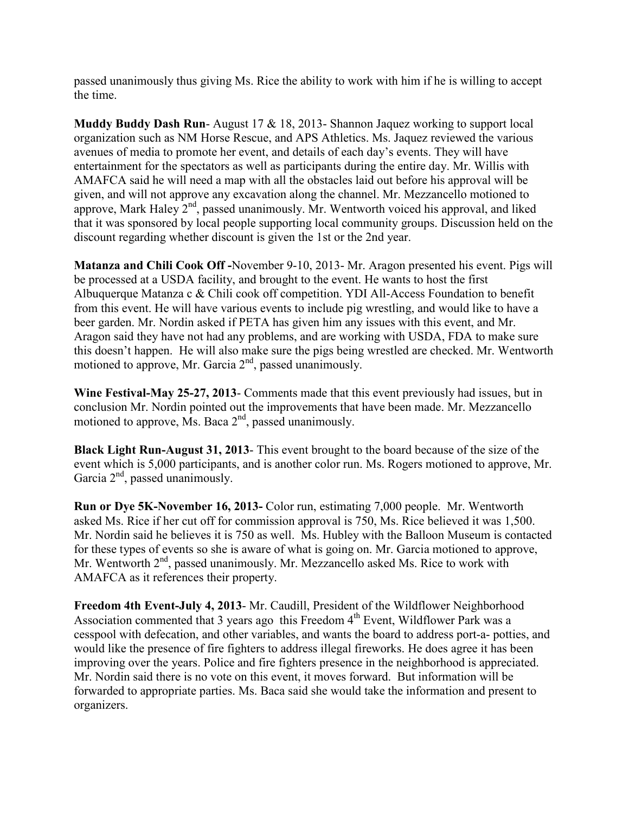passed unanimously thus giving Ms. Rice the ability to work with him if he is willing to accept the time.

**Muddy Buddy Dash Run**- August 17 & 18, 2013- Shannon Jaquez working to support local organization such as NM Horse Rescue, and APS Athletics. Ms. Jaquez reviewed the various avenues of media to promote her event, and details of each day's events. They will have entertainment for the spectators as well as participants during the entire day. Mr. Willis with AMAFCA said he will need a map with all the obstacles laid out before his approval will be given, and will not approve any excavation along the channel. Mr. Mezzancello motioned to approve, Mark Haley  $2<sup>nd</sup>$ , passed unanimously. Mr. Wentworth voiced his approval, and liked that it was sponsored by local people supporting local community groups. Discussion held on the discount regarding whether discount is given the 1st or the 2nd year.

**Matanza and Chili Cook Off -**November 9-10, 2013- Mr. Aragon presented his event. Pigs will be processed at a USDA facility, and brought to the event. He wants to host the first Albuquerque Matanza c & Chili cook off competition. YDI All-Access Foundation to benefit from this event. He will have various events to include pig wrestling, and would like to have a beer garden. Mr. Nordin asked if PETA has given him any issues with this event, and Mr. Aragon said they have not had any problems, and are working with USDA, FDA to make sure this doesn't happen. He will also make sure the pigs being wrestled are checked. Mr. Wentworth motioned to approve, Mr. Garcia  $2<sup>nd</sup>$ , passed unanimously.

**Wine Festival-May 25-27, 2013**- Comments made that this event previously had issues, but in conclusion Mr. Nordin pointed out the improvements that have been made. Mr. Mezzancello motioned to approve, Ms. Baca  $2<sup>nd</sup>$ , passed unanimously.

**Black Light Run-August 31, 2013**- This event brought to the board because of the size of the event which is 5,000 participants, and is another color run. Ms. Rogers motioned to approve, Mr. Garcia  $2<sup>nd</sup>$ , passed unanimously.

**Run or Dye 5K-November 16, 2013-** Color run, estimating 7,000 people. Mr. Wentworth asked Ms. Rice if her cut off for commission approval is 750, Ms. Rice believed it was 1,500. Mr. Nordin said he believes it is 750 as well. Ms. Hubley with the Balloon Museum is contacted for these types of events so she is aware of what is going on. Mr. Garcia motioned to approve, Mr. Wentworth 2<sup>nd</sup>, passed unanimously. Mr. Mezzancello asked Ms. Rice to work with AMAFCA as it references their property.

**Freedom 4th Event-July 4, 2013**- Mr. Caudill, President of the Wildflower Neighborhood Association commented that 3 years ago this Freedom  $4<sup>th</sup>$  Event, Wildflower Park was a cesspool with defecation, and other variables, and wants the board to address port-a- potties, and would like the presence of fire fighters to address illegal fireworks. He does agree it has been improving over the years. Police and fire fighters presence in the neighborhood is appreciated. Mr. Nordin said there is no vote on this event, it moves forward. But information will be forwarded to appropriate parties. Ms. Baca said she would take the information and present to organizers.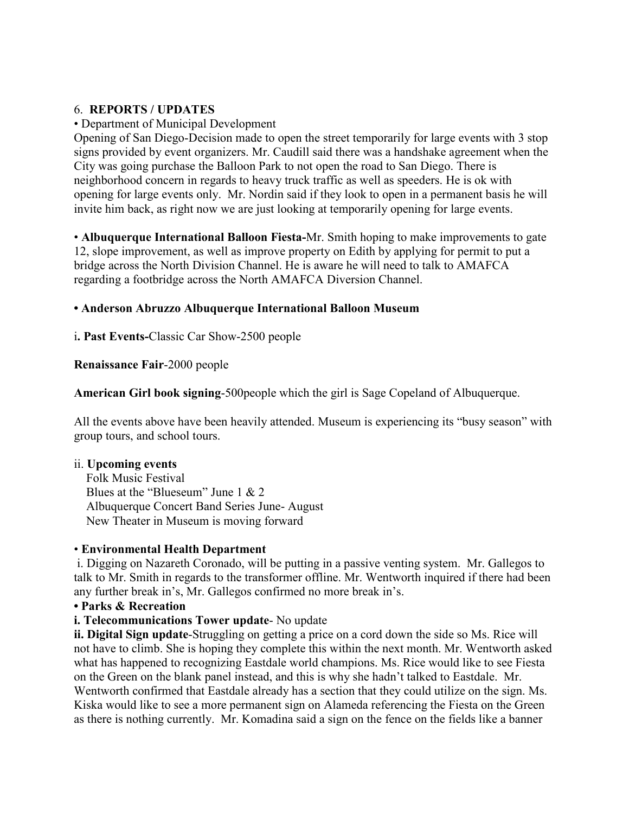# 6. **REPORTS / UPDATES**

### • Department of Municipal Development

Opening of San Diego-Decision made to open the street temporarily for large events with 3 stop signs provided by event organizers. Mr. Caudill said there was a handshake agreement when the City was going purchase the Balloon Park to not open the road to San Diego. There is neighborhood concern in regards to heavy truck traffic as well as speeders. He is ok with opening for large events only. Mr. Nordin said if they look to open in a permanent basis he will invite him back, as right now we are just looking at temporarily opening for large events.

• **Albuquerque International Balloon Fiesta-**Mr. Smith hoping to make improvements to gate 12, slope improvement, as well as improve property on Edith by applying for permit to put a bridge across the North Division Channel. He is aware he will need to talk to AMAFCA regarding a footbridge across the North AMAFCA Diversion Channel.

### **• Anderson Abruzzo Albuquerque International Balloon Museum**

i**. Past Events-**Classic Car Show-2500 people

### **Renaissance Fair**-2000 people

**American Girl book signing**-500people which the girl is Sage Copeland of Albuquerque.

All the events above have been heavily attended. Museum is experiencing its "busy season" with group tours, and school tours.

#### ii. **Upcoming events**

 Folk Music Festival Blues at the "Blueseum" June 1 & 2 Albuquerque Concert Band Series June- August New Theater in Museum is moving forward

# • **Environmental Health Department**

 i. Digging on Nazareth Coronado, will be putting in a passive venting system. Mr. Gallegos to talk to Mr. Smith in regards to the transformer offline. Mr. Wentworth inquired if there had been any further break in's, Mr. Gallegos confirmed no more break in's.

# **• Parks & Recreation**

# **i. Telecommunications Tower update**- No update

**ii. Digital Sign update**-Struggling on getting a price on a cord down the side so Ms. Rice will not have to climb. She is hoping they complete this within the next month. Mr. Wentworth asked what has happened to recognizing Eastdale world champions. Ms. Rice would like to see Fiesta on the Green on the blank panel instead, and this is why she hadn't talked to Eastdale. Mr. Wentworth confirmed that Eastdale already has a section that they could utilize on the sign. Ms. Kiska would like to see a more permanent sign on Alameda referencing the Fiesta on the Green as there is nothing currently. Mr. Komadina said a sign on the fence on the fields like a banner